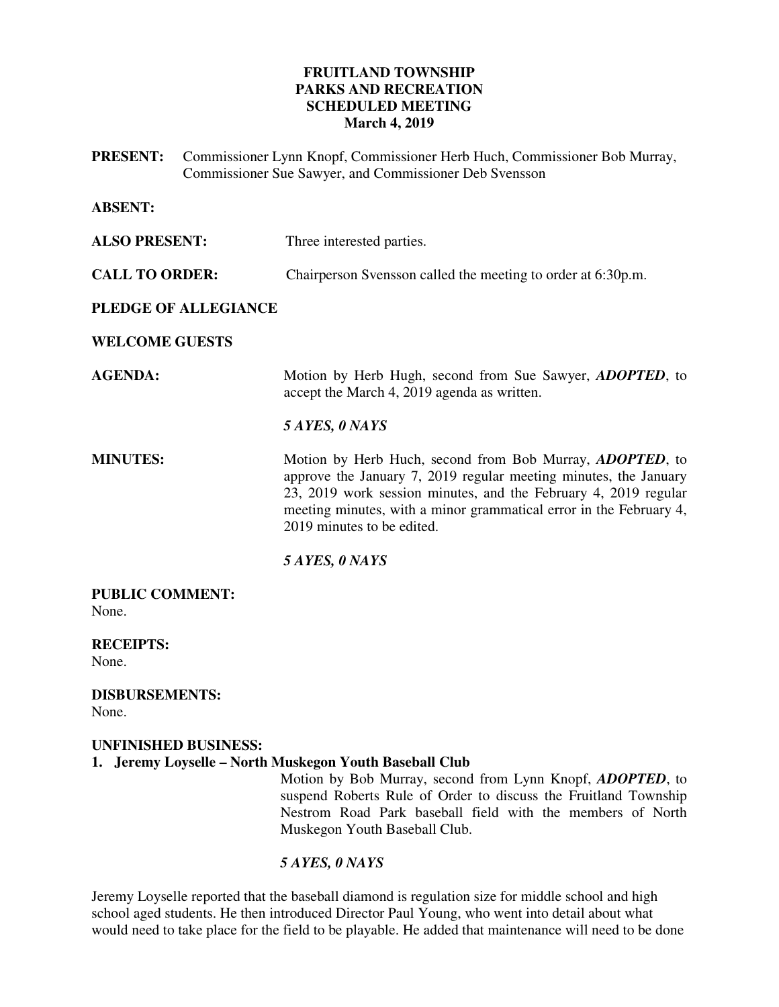# **FRUITLAND TOWNSHIP PARKS AND RECREATION SCHEDULED MEETING March 4, 2019**

**PRESENT:** Commissioner Lynn Knopf, Commissioner Herb Huch, Commissioner Bob Murray, Commissioner Sue Sawyer, and Commissioner Deb Svensson

| <b>ABSENT:</b>                  |                                                                                                                                                                                                                                                                                                             |
|---------------------------------|-------------------------------------------------------------------------------------------------------------------------------------------------------------------------------------------------------------------------------------------------------------------------------------------------------------|
| <b>ALSO PRESENT:</b>            | Three interested parties.                                                                                                                                                                                                                                                                                   |
| <b>CALL TO ORDER:</b>           | Chairperson Svensson called the meeting to order at 6:30p.m.                                                                                                                                                                                                                                                |
| <b>PLEDGE OF ALLEGIANCE</b>     |                                                                                                                                                                                                                                                                                                             |
| <b>WELCOME GUESTS</b>           |                                                                                                                                                                                                                                                                                                             |
| <b>AGENDA:</b>                  | Motion by Herb Hugh, second from Sue Sawyer, <i>ADOPTED</i> , to<br>accept the March 4, 2019 agenda as written.                                                                                                                                                                                             |
|                                 | 5 AYES, 0 NAYS                                                                                                                                                                                                                                                                                              |
| <b>MINUTES:</b>                 | Motion by Herb Huch, second from Bob Murray, <i>ADOPTED</i> , to<br>approve the January 7, 2019 regular meeting minutes, the January<br>23, 2019 work session minutes, and the February 4, 2019 regular<br>meeting minutes, with a minor grammatical error in the February 4,<br>2019 minutes to be edited. |
|                                 | 5 AYES, 0 NAYS                                                                                                                                                                                                                                                                                              |
| <b>PUBLIC COMMENT:</b><br>None. |                                                                                                                                                                                                                                                                                                             |
| <b>RECEIPTS:</b><br>None.       |                                                                                                                                                                                                                                                                                                             |

**DISBURSEMENTS:**  None.

# **UNFINISHED BUSINESS: 1. Jeremy Loyselle – North Muskegon Youth Baseball Club**

Motion by Bob Murray, second from Lynn Knopf, *ADOPTED*, to suspend Roberts Rule of Order to discuss the Fruitland Township Nestrom Road Park baseball field with the members of North Muskegon Youth Baseball Club.

# *5 AYES, 0 NAYS*

Jeremy Loyselle reported that the baseball diamond is regulation size for middle school and high school aged students. He then introduced Director Paul Young, who went into detail about what would need to take place for the field to be playable. He added that maintenance will need to be done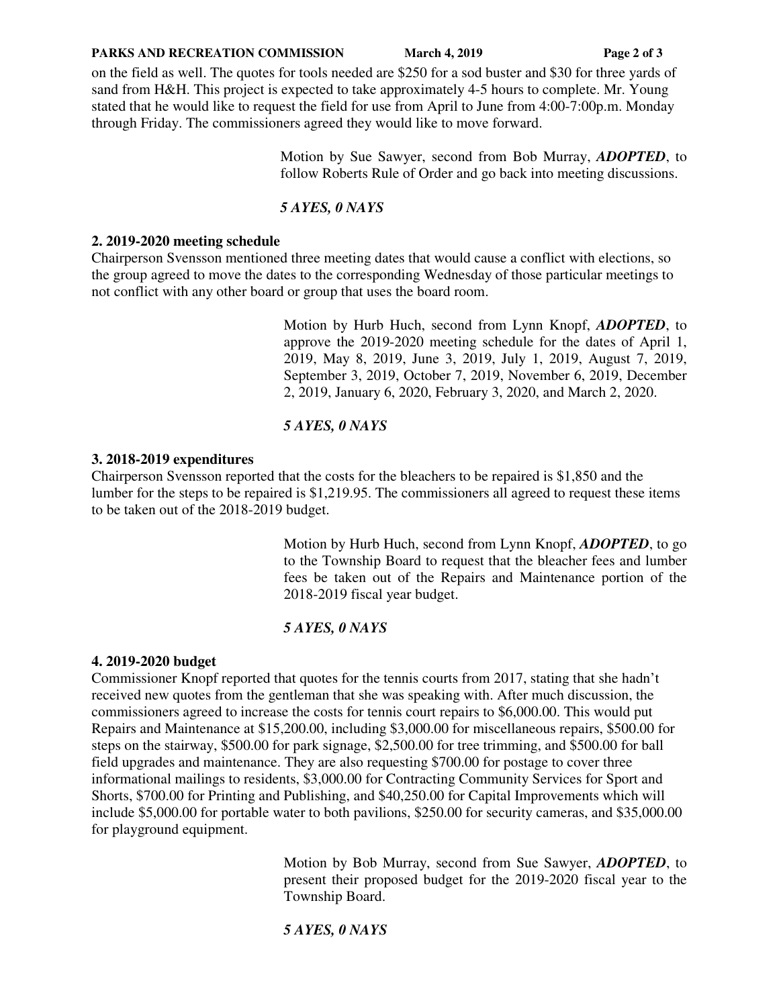#### **PARKS AND RECREATION COMMISSION** March 4, 2019 **Page 2 of 3**

on the field as well. The quotes for tools needed are \$250 for a sod buster and \$30 for three yards of sand from H&H. This project is expected to take approximately 4-5 hours to complete. Mr. Young stated that he would like to request the field for use from April to June from 4:00-7:00p.m. Monday through Friday. The commissioners agreed they would like to move forward.

> Motion by Sue Sawyer, second from Bob Murray, *ADOPTED*, to follow Roberts Rule of Order and go back into meeting discussions.

#### *5 AYES, 0 NAYS*

#### **2. 2019-2020 meeting schedule**

Chairperson Svensson mentioned three meeting dates that would cause a conflict with elections, so the group agreed to move the dates to the corresponding Wednesday of those particular meetings to not conflict with any other board or group that uses the board room.

> Motion by Hurb Huch, second from Lynn Knopf, *ADOPTED*, to approve the 2019-2020 meeting schedule for the dates of April 1, 2019, May 8, 2019, June 3, 2019, July 1, 2019, August 7, 2019, September 3, 2019, October 7, 2019, November 6, 2019, December 2, 2019, January 6, 2020, February 3, 2020, and March 2, 2020.

### *5 AYES, 0 NAYS*

#### **3. 2018-2019 expenditures**

Chairperson Svensson reported that the costs for the bleachers to be repaired is \$1,850 and the lumber for the steps to be repaired is \$1,219.95. The commissioners all agreed to request these items to be taken out of the 2018-2019 budget.

> Motion by Hurb Huch, second from Lynn Knopf, *ADOPTED*, to go to the Township Board to request that the bleacher fees and lumber fees be taken out of the Repairs and Maintenance portion of the 2018-2019 fiscal year budget.

### *5 AYES, 0 NAYS*

#### **4. 2019-2020 budget**

Commissioner Knopf reported that quotes for the tennis courts from 2017, stating that she hadn't received new quotes from the gentleman that she was speaking with. After much discussion, the commissioners agreed to increase the costs for tennis court repairs to \$6,000.00. This would put Repairs and Maintenance at \$15,200.00, including \$3,000.00 for miscellaneous repairs, \$500.00 for steps on the stairway, \$500.00 for park signage, \$2,500.00 for tree trimming, and \$500.00 for ball field upgrades and maintenance. They are also requesting \$700.00 for postage to cover three informational mailings to residents, \$3,000.00 for Contracting Community Services for Sport and Shorts, \$700.00 for Printing and Publishing, and \$40,250.00 for Capital Improvements which will include \$5,000.00 for portable water to both pavilions, \$250.00 for security cameras, and \$35,000.00 for playground equipment.

> Motion by Bob Murray, second from Sue Sawyer, *ADOPTED*, to present their proposed budget for the 2019-2020 fiscal year to the Township Board.

*5 AYES, 0 NAYS*